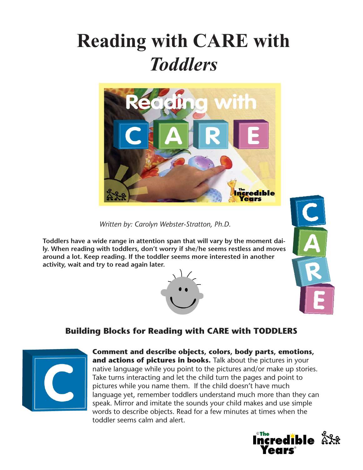# **Reading with CARE with**  *Toddlers*



*Written by: Carolyn Webster-Stratton, Ph.D.*

**Toddlers have a wide range in attention span that will vary by the moment daily. When reading with toddlers, don't worry if she/he seems restless and moves around a lot. Keep reading. If the toddler seems more interested in another activity, wait and try to read again later.**





# **Building Blocks for Reading with CARE with TODDLERS**



**Comment and describe objects, colors, body parts, emotions, and actions of pictures in books.** Talk about the pictures in your native language while you point to the pictures and/or make up stories. Take turns interacting and let the child turn the pages and point to pictures while you name them. If the child doesn't have much language yet, remember toddlers understand much more than they can speak. Mirror and imitate the sounds your child makes and use simple words to describe objects. Read for a few minutes at times when the toddler seems calm and alert.

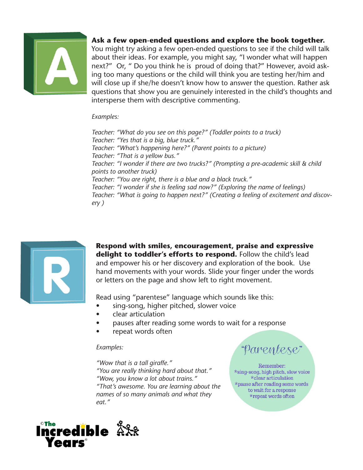

## **Ask a few open-ended questions and explore the book together.**

You might try asking a few open-ended questions to see if the child will talk about their ideas. For example, you might say, "I wonder what will happen next?" Or, " Do you think he is proud of doing that?" However, avoid asking too many questions or the child will think you are testing her/him and will close up if she/he doesn't know how to answer the question. Rather ask questions that show you are genuinely interested in the child's thoughts and intersperse them with descriptive commenting.

#### *Examples:*

*Teacher: "What do you see on this page?" (Toddler points to a truck) Teacher: "Yes that is a big, blue truck." Teacher: "What's happening here?" (Parent points to a picture) Teacher: "That is a yellow bus." Teacher: "I wonder if there are two trucks?" (Prompting a pre-academic skill & child points to another truck) Teacher: "You are right, there is a blue and a black truck." Teacher: "I wonder if she is feeling sad now?" (Exploring the name of feelings) Teacher: "What is going to happen next?" (Creating a feeling of excitement and discovery )*



**Respond with smiles, encouragement, praise and expressive**  delight to toddler's efforts to respond. Follow the child's lead and empower his or her discovery and exploration of the book. Use hand movements with your words. Slide your finger under the words or letters on the page and show left to right movement.

Read using "parentese" language which sounds like this:

- sing-song, higher pitched, slower voice
- **clear articulation**
- pauses after reading some words to wait for a response
- repeat words often

#### *Examples:*

*"Wow that is a tall giraffe." "You are really thinking hard about that." "Wow, you know a lot about trains." "That's awesome. You are learning about the names of so many animals and what they eat."*



"Parentese"

Remember: \*sing-song, high pitch, slow voice \*clear articulation \*pause after reading some words to wait for a response \*repeat words often